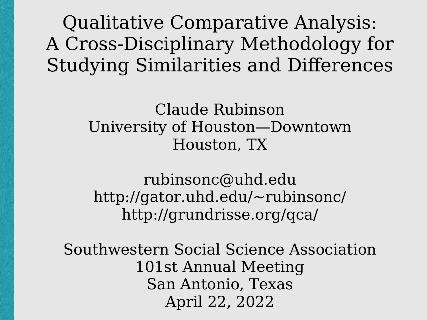Qualitative Comparative Analysis: A Cross-Disciplinary Methodology for Studying Similarities and Differences

> Claude Rubinson University of Houston—Downtown Houston, TX

rubinsonc@uhd.edu http://gator.uhd.edu/~rubinsonc/ http://grundrisse.org/qca/

Southwestern Social Science Association 101st Annual Meeting San Antonio, Texas April 22, 2022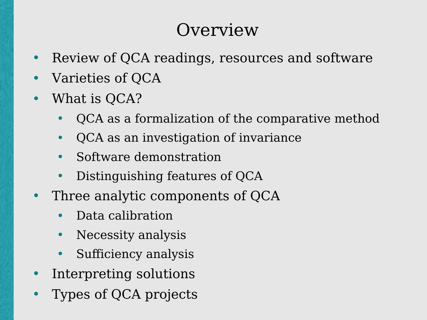### **Overview**

- Review of QCA readings, resources and software
- Varieties of OCA
- What is QCA?
	- QCA as a formalization of the comparative method
	- QCA as an investigation of invariance
	- Software demonstration
	- Distinguishing features of QCA
- Three analytic components of QCA
	- Data calibration
	- Necessity analysis
	- Sufficiency analysis
- Interpreting solutions
- Types of QCA projects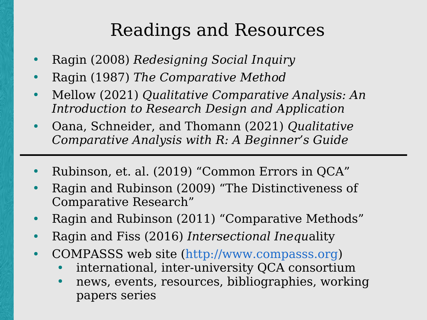# Readings and Resources

- Ragin (2008) *Redesigning Social Inquiry*
- Ragin (1987) *The Comparative Method*
- Mellow (2021) *Qualitative Comparative Analysis: An Introduction to Research Design and Application*
- Oana, Schneider, and Thomann (2021) *Qualitative Comparative Analysis with R: A Beginner's Guide*
- Rubinson, et. al. (2019) "Common Errors in QCA"
- Ragin and Rubinson (2009) "The Distinctiveness of Comparative Research"
- Ragin and Rubinson (2011) "Comparative Methods"
- Ragin and Fiss (2016) *Intersectional Inequ*ality
- COMPASSS web site ([http://www.compasss.org](http://www.compasss.org/))
	- international, inter-university QCA consortium
	- news, events, resources, bibliographies, working papers series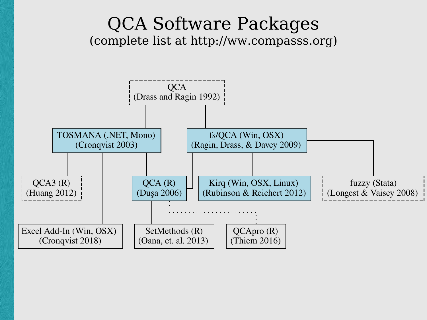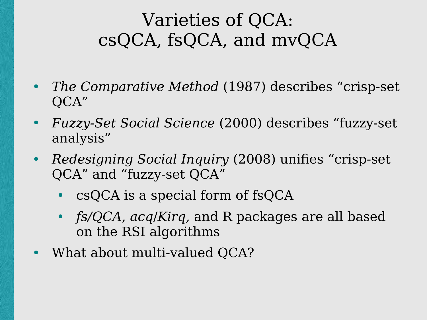# Varieties of QCA: csQCA, fsQCA, and mvQCA

- *The Comparative Method* (1987) describes "crisp-set QCA"
- *Fuzzy-Set Social Science* (2000) describes "fuzzy-set analysis"
- *Redesigning Social Inquiry* (2008) unifies "crisp-set QCA" and "fuzzy-set QCA"
	- csQCA is a special form of fsQCA
	- *fs/QCA*, *acq*/*Kirq,* and R packages are all based on the RSI algorithms
- What about multi-valued QCA?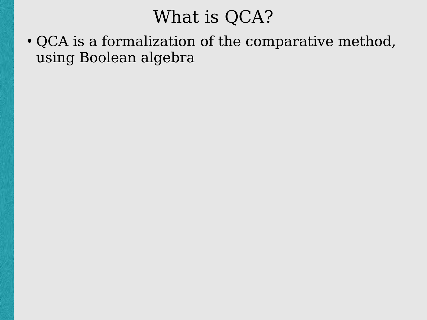### What is QCA?

• QCA is a formalization of the comparative method, using Boolean algebra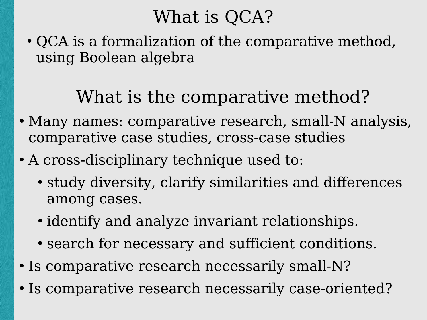# What is OCA?

• QCA is a formalization of the comparative method, using Boolean algebra

# What is the comparative method?

- Many names: comparative research, small-N analysis, comparative case studies, cross-case studies
- A cross-disciplinary technique used to:
	- study diversity, clarify similarities and differences among cases.
	- identify and analyze invariant relationships.
	- search for necessary and sufficient conditions.
- Is comparative research necessarily small-N?
- Is comparative research necessarily case-oriented?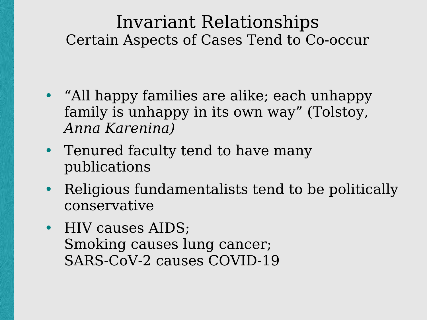- "All happy families are alike; each unhappy family is unhappy in its own way" (Tolstoy, *Anna Karenina)*
- Tenured faculty tend to have many publications
- Religious fundamentalists tend to be politically conservative
- HIV causes AIDS; Smoking causes lung cancer; SARS-CoV-2 causes COVID-19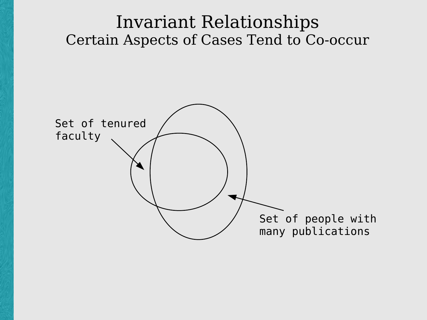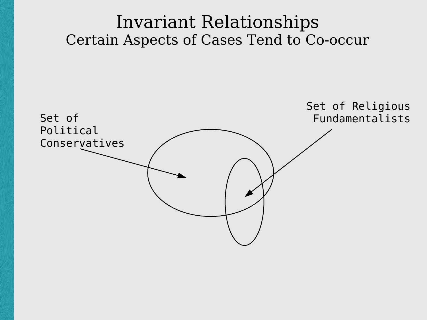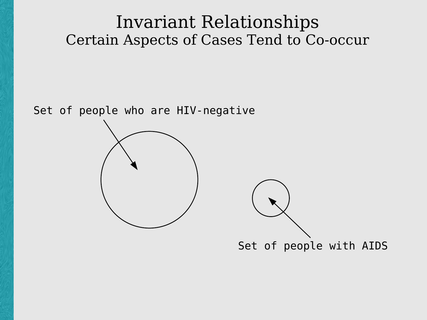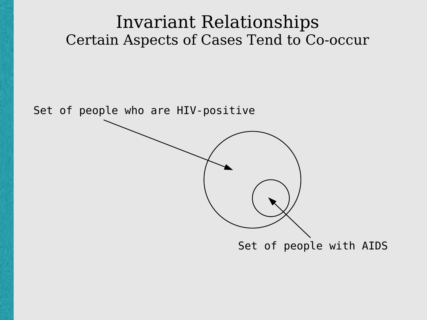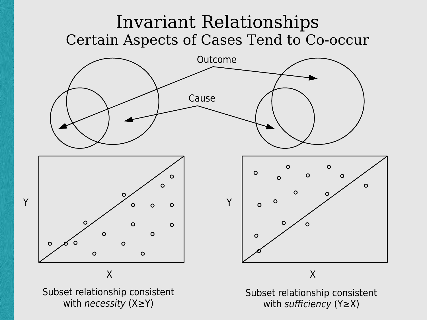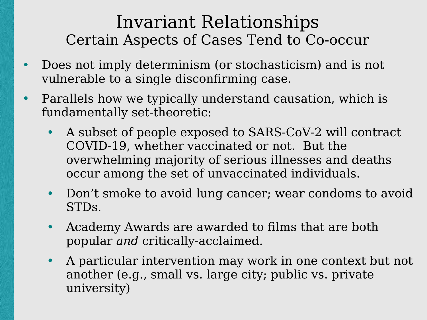- Does not imply determinism (or stochasticism) and is not vulnerable to a single disconfirming case.
- Parallels how we typically understand causation, which is fundamentally set-theoretic:
	- A subset of people exposed to SARS-CoV-2 will contract COVID-19, whether vaccinated or not. But the overwhelming majority of serious illnesses and deaths occur among the set of unvaccinated individuals.
	- Don't smoke to avoid lung cancer; wear condoms to avoid STDs.
	- Academy Awards are awarded to films that are both popular *and* critically-acclaimed.
	- A particular intervention may work in one context but not another (e.g., small vs. large city; public vs. private university)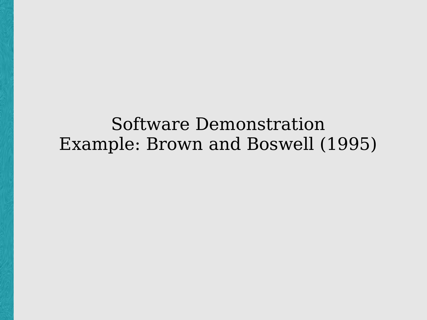### Software Demonstration Example: Brown and Boswell (1995)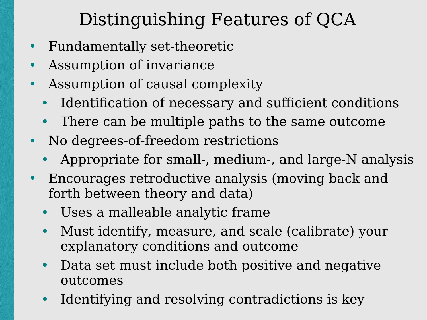# Distinguishing Features of QCA

- Fundamentally set-theoretic
- Assumption of invariance
- Assumption of causal complexity
	- Identification of necessary and sufficient conditions
	- There can be multiple paths to the same outcome
- No degrees-of-freedom restrictions
	- Appropriate for small-, medium-, and large-N analysis
- Encourages retroductive analysis (moving back and forth between theory and data)
	- Uses a malleable analytic frame
	- Must identify, measure, and scale (calibrate) your explanatory conditions and outcome
	- Data set must include both positive and negative outcomes
	- Identifying and resolving contradictions is key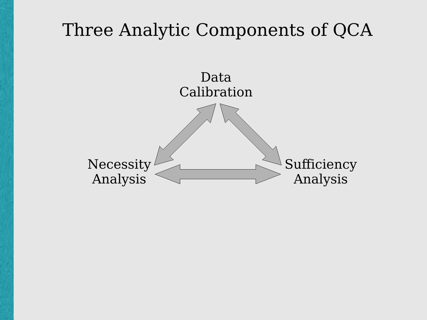### Three Analytic Components of QCA

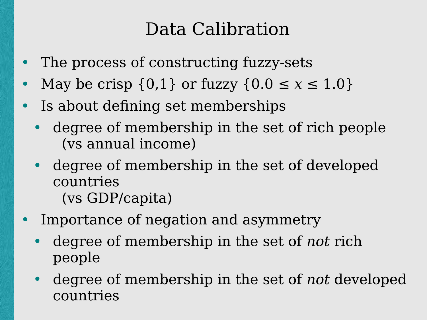## Data Calibration

- The process of constructing fuzzy-sets
- May be crisp  $\{0,1\}$  or fuzzy  $\{0.0 \le x \le 1.0\}$
- Is about defining set memberships
	- degree of membership in the set of rich people (vs annual income)
	- degree of membership in the set of developed countries (vs GDP/capita)
- Importance of negation and asymmetry
	- degree of membership in the set of *not* rich people
	- degree of membership in the set of *not* developed countries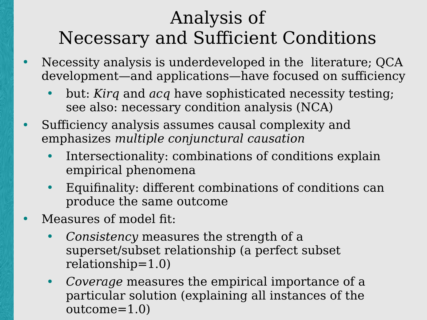# Analysis of Necessary and Sufficient Conditions

- Necessity analysis is underdeveloped in the literature; QCA development—and applications—have focused on sufficiency
	- but: *Kirq* and *acq* have sophisticated necessity testing; see also: necessary condition analysis (NCA)
- Sufficiency analysis assumes causal complexity and emphasizes *multiple conjunctural causation*
	- Intersectionality: combinations of conditions explain empirical phenomena
	- Equifinality: different combinations of conditions can produce the same outcome
- Measures of model fit:
	- *Consistency* measures the strength of a superset/subset relationship (a perfect subset relationship=1.0)
	- *Coverage* measures the empirical importance of a particular solution (explaining all instances of the outcome=1.0)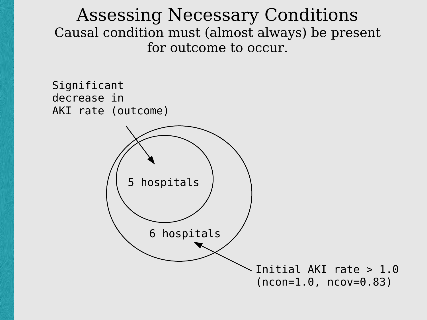Assessing Necessary Conditions Causal condition must (almost always) be present for outcome to occur.

Significant decrease in AKI rate (outcome)

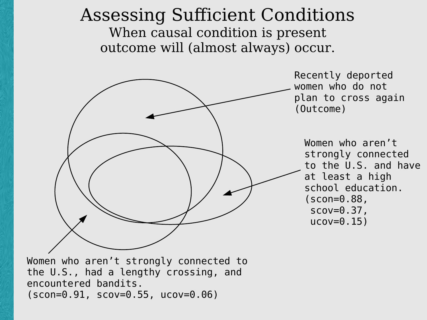#### Assessing Sufficient Conditions When causal condition is present outcome will (almost always) occur.



Women who aren't strongly connected to the U.S., had a lengthy crossing, and encountered bandits. (scon=0.91, scov=0.55, ucov=0.06)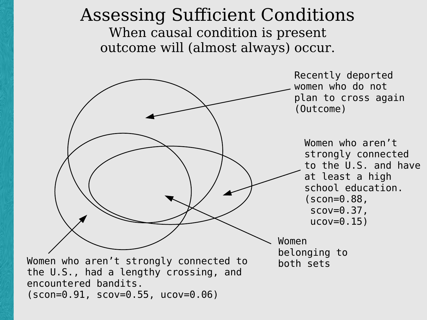#### Assessing Sufficient Conditions When causal condition is present outcome will (almost always) occur.

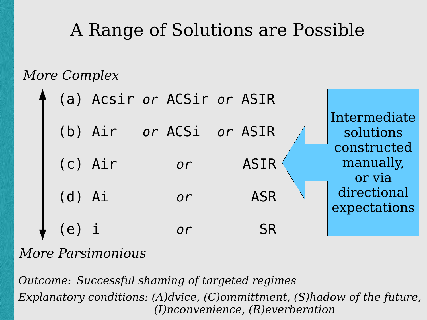# A Range of Solutions are Possible

*More Complex*

|            | (a) Acsir or ACSir or ASIR |                 |             |                                    |
|------------|----------------------------|-----------------|-------------|------------------------------------|
|            | (b) Air                    | or ACSi or ASIR |             | Intermediate<br>solutions          |
|            | $(c)$ Air                  | or              | <b>ASIR</b> | constructed<br>manually,<br>or via |
| $(d)$ $Ai$ |                            | or              | <b>ASR</b>  | directional<br>expectations        |
| $(e)$ 1    |                            | $\overline{or}$ | <b>SR</b>   |                                    |

#### *More Parsimonious*

*Outcome: Successful shaming of targeted regimes Explanatory conditions: (A)dvice, (C)ommittment, (S)hadow of the future, (I)nconvenience, (R)everberation*